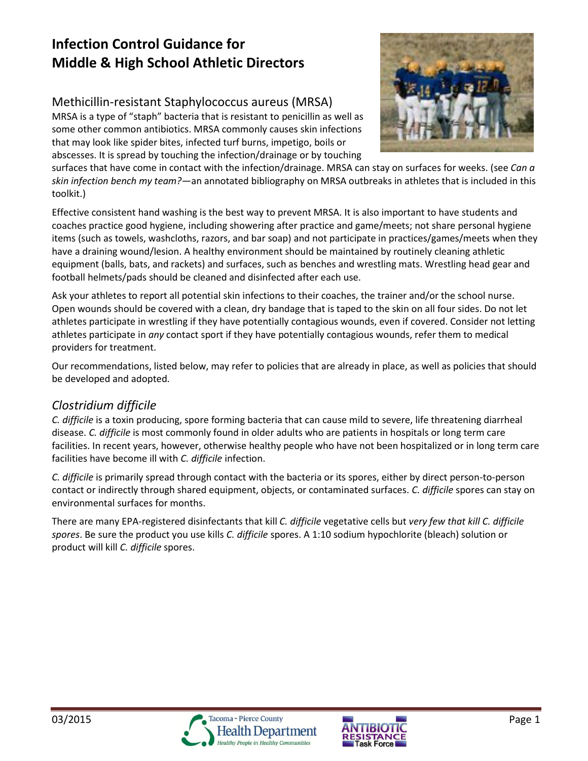# **Infection Control Guidance for Middle & High School Athletic Directors**

# Methicillin-resistant Staphylococcus aureus (MRSA)

MRSA is a type of "staph" bacteria that is resistant to penicillin as well as some other common antibiotics. MRSA commonly causes skin infections that may look like spider bites, infected turf burns, impetigo, boils or abscesses. It is spread by touching the infection/drainage or by touching



surfaces that have come in contact with the infection/drainage. MRSA can stay on surfaces for weeks. (see *Can a skin infection bench my team?—*an annotated bibliography on MRSA outbreaks in athletes that is included in this toolkit.)

Effective consistent hand washing is the best way to prevent MRSA. It is also important to have students and coaches practice good hygiene, including showering after practice and game/meets; not share personal hygiene items (such as towels, washcloths, razors, and bar soap) and not participate in practices/games/meets when they have a draining wound/lesion. A healthy environment should be maintained by routinely cleaning athletic equipment (balls, bats, and rackets) and surfaces, such as benches and wrestling mats. Wrestling head gear and football helmets/pads should be cleaned and disinfected after each use.

Ask your athletes to report all potential skin infections to their coaches, the trainer and/or the school nurse. Open wounds should be covered with a clean, dry bandage that is taped to the skin on all four sides. Do not let athletes participate in wrestling if they have potentially contagious wounds, even if covered. Consider not letting athletes participate in *any* contact sport if they have potentially contagious wounds, refer them to medical providers for treatment.

Our recommendations, listed below, may refer to policies that are already in place, as well as policies that should be developed and adopted.

# *Clostridium difficile*

*C. difficile* is a toxin producing, spore forming bacteria that can cause mild to severe, life threatening diarrheal disease. *C. difficile* is most commonly found in older adults who are patients in hospitals or long term care facilities. In recent years, however, otherwise healthy people who have not been hospitalized or in long term care facilities have become ill with *C. difficile* infection.

*C. difficile* is primarily spread through contact with the bacteria or its spores, either by direct person-to-person contact or indirectly through shared equipment, objects, or contaminated surfaces. *C. difficile* spores can stay on environmental surfaces for months.

There are many EPA-registered disinfectants that kill *C. difficile* vegetative cells but *very few that kill C. difficile spores*. Be sure the product you use kills *C. difficile* spores. A 1:10 sodium hypochlorite (bleach) solution or product will kill *C. difficile* spores.



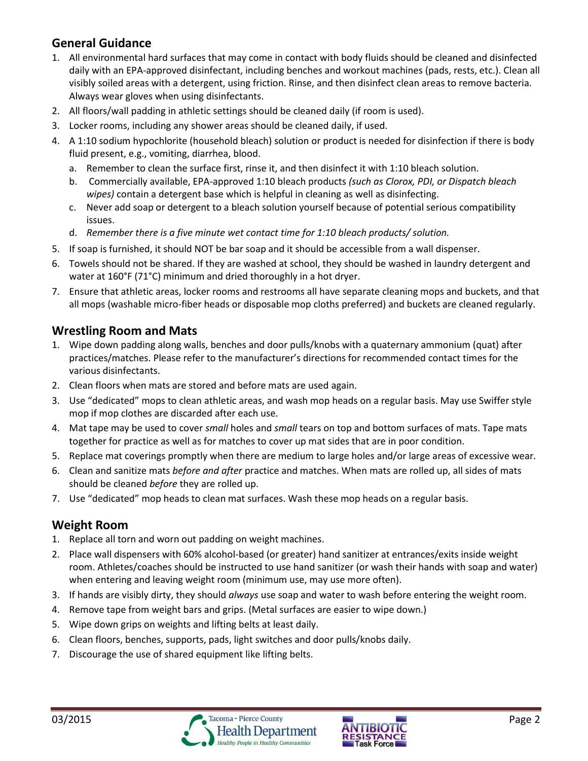# **General Guidance**

- 1. All environmental hard surfaces that may come in contact with body fluids should be cleaned and disinfected daily with an EPA-approved disinfectant, including benches and workout machines (pads, rests, etc.). Clean all visibly soiled areas with a detergent, using friction. Rinse, and then disinfect clean areas to remove bacteria. Always wear gloves when using disinfectants.
- 2. All floors/wall padding in athletic settings should be cleaned daily (if room is used).
- 3. Locker rooms, including any shower areas should be cleaned daily, if used.
- 4. A 1:10 sodium hypochlorite (household bleach) solution or product is needed for disinfection if there is body fluid present, e.g., vomiting, diarrhea, blood.
	- a. Remember to clean the surface first, rinse it, and then disinfect it with 1:10 bleach solution.
	- b. Commercially available, EPA-approved 1:10 bleach products *(such as Clorox, PDI, or Dispatch bleach wipes)* contain a detergent base which is helpful in cleaning as well as disinfecting.
	- c. Never add soap or detergent to a bleach solution yourself because of potential serious compatibility issues.
	- d. *Remember there is a five minute wet contact time for 1:10 bleach products/ solution.*
- 5. If soap is furnished, it should NOT be bar soap and it should be accessible from a wall dispenser.
- 6. Towels should not be shared. If they are washed at school, they should be washed in laundry detergent and water at 160°F (71°C) minimum and dried thoroughly in a hot dryer.
- 7. Ensure that athletic areas, locker rooms and restrooms all have separate cleaning mops and buckets, and that all mops (washable micro-fiber heads or disposable mop cloths preferred) and buckets are cleaned regularly.

## **Wrestling Room and Mats**

- 1. Wipe down padding along walls, benches and door pulls/knobs with a quaternary ammonium (quat) after practices/matches. Please refer to the manufacturer's directions for recommended contact times for the various disinfectants.
- 2. Clean floors when mats are stored and before mats are used again.
- 3. Use "dedicated" mops to clean athletic areas, and wash mop heads on a regular basis. May use Swiffer style mop if mop clothes are discarded after each use.
- 4. Mat tape may be used to cover *small* holes and *small* tears on top and bottom surfaces of mats. Tape mats together for practice as well as for matches to cover up mat sides that are in poor condition.
- 5. Replace mat coverings promptly when there are medium to large holes and/or large areas of excessive wear.
- 6. Clean and sanitize mats *before and after* practice and matches. When mats are rolled up, all sides of mats should be cleaned *before* they are rolled up.
- 7. Use "dedicated" mop heads to clean mat surfaces. Wash these mop heads on a regular basis.

# **Weight Room**

- 1. Replace all torn and worn out padding on weight machines.
- 2. Place wall dispensers with 60% alcohol-based (or greater) hand sanitizer at entrances/exits inside weight room. Athletes/coaches should be instructed to use hand sanitizer (or wash their hands with soap and water) when entering and leaving weight room (minimum use, may use more often).
- 3. If hands are visibly dirty, they should *always* use soap and water to wash before entering the weight room.
- 4. Remove tape from weight bars and grips. (Metal surfaces are easier to wipe down.)
- 5. Wipe down grips on weights and lifting belts at least daily.
- 6. Clean floors, benches, supports, pads, light switches and door pulls/knobs daily.
- 7. Discourage the use of shared equipment like lifting belts.

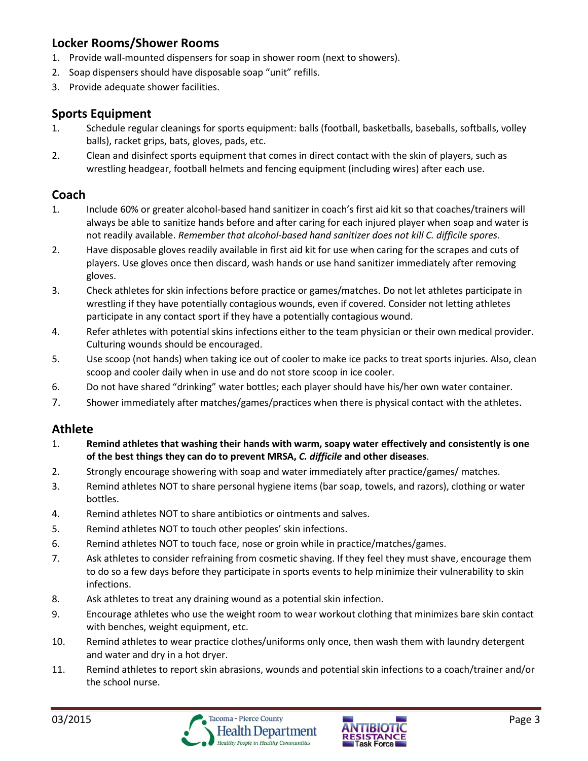## **Locker Rooms/Shower Rooms**

- 1. Provide wall-mounted dispensers for soap in shower room (next to showers).
- 2. Soap dispensers should have disposable soap "unit" refills.
- 3. Provide adequate shower facilities.

### **Sports Equipment**

- 1. Schedule regular cleanings for sports equipment: balls (football, basketballs, baseballs, softballs, volley balls), racket grips, bats, gloves, pads, etc.
- 2. Clean and disinfect sports equipment that comes in direct contact with the skin of players, such as wrestling headgear, football helmets and fencing equipment (including wires) after each use.

### **Coach**

- 1. Include 60% or greater alcohol-based hand sanitizer in coach's first aid kit so that coaches/trainers will always be able to sanitize hands before and after caring for each injured player when soap and water is not readily available. *Remember that alcohol-based hand sanitizer does not kill C. difficile spores.*
- 2. Have disposable gloves readily available in first aid kit for use when caring for the scrapes and cuts of players. Use gloves once then discard, wash hands or use hand sanitizer immediately after removing gloves.
- 3. Check athletes for skin infections before practice or games/matches. Do not let athletes participate in wrestling if they have potentially contagious wounds, even if covered. Consider not letting athletes participate in any contact sport if they have a potentially contagious wound.
- 4. Refer athletes with potential skins infections either to the team physician or their own medical provider. Culturing wounds should be encouraged.
- 5. Use scoop (not hands) when taking ice out of cooler to make ice packs to treat sports injuries. Also, clean scoop and cooler daily when in use and do not store scoop in ice cooler.
- 6. Do not have shared "drinking" water bottles; each player should have his/her own water container.
- 7. Shower immediately after matches/games/practices when there is physical contact with the athletes.

### **Athlete**

- 1. **Remind athletes that washing their hands with warm, soapy water effectively and consistently is one of the best things they can do to prevent MRSA,** *C. difficile* **and other diseases**.
- 2. Strongly encourage showering with soap and water immediately after practice/games/ matches.
- 3. Remind athletes NOT to share personal hygiene items (bar soap, towels, and razors), clothing or water bottles.
- 4. Remind athletes NOT to share antibiotics or ointments and salves.
- 5. Remind athletes NOT to touch other peoples' skin infections.
- 6. Remind athletes NOT to touch face, nose or groin while in practice/matches/games.
- 7. Ask athletes to consider refraining from cosmetic shaving. If they feel they must shave, encourage them to do so a few days before they participate in sports events to help minimize their vulnerability to skin infections.
- 8. Ask athletes to treat any draining wound as a potential skin infection.
- 9. Encourage athletes who use the weight room to wear workout clothing that minimizes bare skin contact with benches, weight equipment, etc.
- 10. Remind athletes to wear practice clothes/uniforms only once, then wash them with laundry detergent and water and dry in a hot dryer.
- 11. Remind athletes to report skin abrasions, wounds and potential skin infections to a coach/trainer and/or the school nurse.